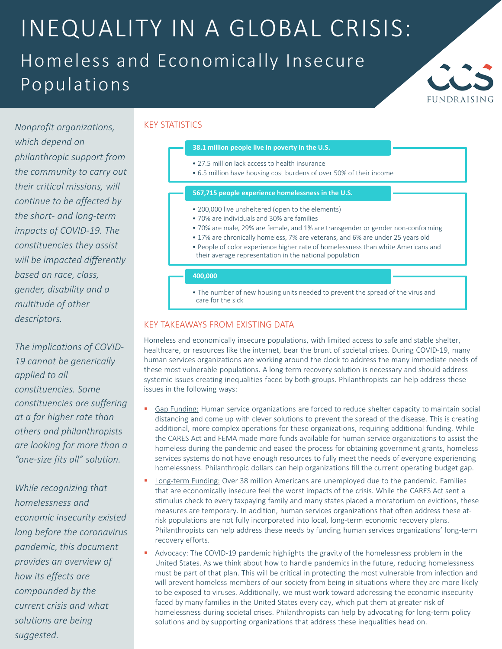## INEQUALITY IN A GLOBAL CRISIS: Homeless and Economically Insecure Populations



*Nonprofit organizations, which depend on philanthropic support from the community to carry out their critical missions, will continue to be affected by the short- and long-term impacts of COVID-19. The constituencies they assist will be impacted differently based on race, class, gender, disability and a multitude of other descriptors.*

*The implications of COVID-19 cannot be generically applied to all constituencies. Some constituencies are suffering at a far higher rate than others and philanthropists are looking for more than a "one-size fits all" solution.*

*While recognizing that homelessness and economic insecurity existed long before the coronavirus pandemic, this document provides an overview of how its effects are compounded by the current crisis and what solutions are being suggested.*

#### KEY STATISTICS

### **38.1 million people live in poverty in the U.S.**

- 27.5 million lack access to health insurance
- 6.5 million have housing cost burdens of over 50% of their income

#### **567,715 people experience homelessness in the U.S.**

- 200,000 live unsheltered (open to the elements)
- 70% are individuals and 30% are families
- 70% are male, 29% are female, and 1% are transgender or gender non-conforming
- 17% are chronically homeless, 7% are veterans, and 6% are under 25 years old
- People of color experience higher rate of homelessness than white Americans and their average representation in the national population

#### **400,000**

• The number of new housing units needed to prevent the spread of the virus and care for the sick

#### KEY TAKEAWAYS FROM EXISTING DATA

Homeless and economically insecure populations, with limited access to safe and stable shelter, healthcare, or resources like the internet, bear the brunt of societal crises. During COVID-19, many human services organizations are working around the clock to address the many immediate needs of these most vulnerable populations. A long term recovery solution is necessary and should address systemic issues creating inequalities faced by both groups. Philanthropists can help address these issues in the following ways:

- Gap Funding: Human service organizations are forced to reduce shelter capacity to maintain social distancing and come up with clever solutions to prevent the spread of the disease. This is creating additional, more complex operations for these organizations, requiring additional funding. While the CARES Act and FEMA made more funds available for human service organizations to assist the homeless during the pandemic and eased the process for obtaining government grants, homeless services systems do not have enough resources to fully meet the needs of everyone experiencing homelessness. Philanthropic dollars can help organizations fill the current operating budget gap.
- Long-term Funding: Over 38 million Americans are unemployed due to the pandemic. Families that are economically insecure feel the worst impacts of the crisis. While the CARES Act sent a stimulus check to every taxpaying family and many states placed a moratorium on evictions, these measures are temporary. In addition, human services organizations that often address these atrisk populations are not fully incorporated into local, long-term economic recovery plans. Philanthropists can help address these needs by funding human services organizations' long-term recovery efforts.
- Advocacy: The COVID-19 pandemic highlights the gravity of the homelessness problem in the United States. As we think about how to handle pandemics in the future, reducing homelessness must be part of that plan. This will be critical in protecting the most vulnerable from infection and will prevent homeless members of our society from being in situations where they are more likely to be exposed to viruses. Additionally, we must work toward addressing the economic insecurity faced by many families in the United States every day, which put them at greater risk of homelessness during societal crises. Philanthropists can help by advocating for long-term policy solutions and by supporting organizations that address these inequalities head on.